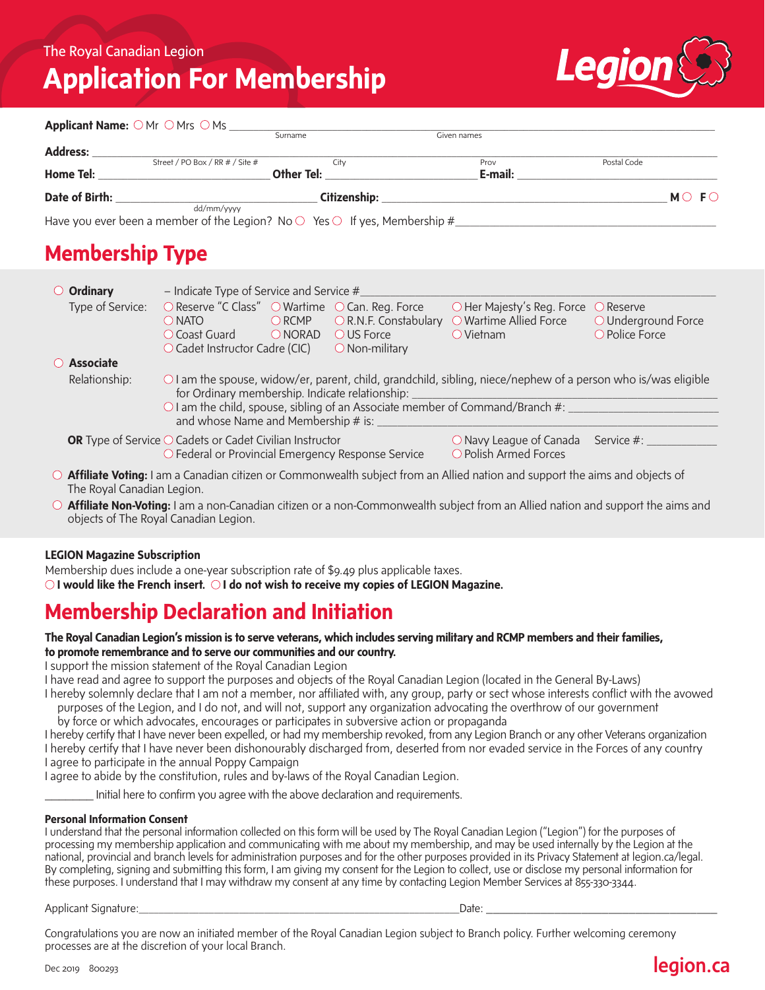# **Application For Membership**



|                | Applicant Name: ○ Mr ○ Mrs ○ Ms _                                                      |              |             |                   |
|----------------|----------------------------------------------------------------------------------------|--------------|-------------|-------------------|
|                |                                                                                        | Surname      | Given names |                   |
| Address:       |                                                                                        |              |             |                   |
|                | Street / PO Box / RR # / Site #                                                        | City         | Prov        | Postal Code       |
| Home Tel:      |                                                                                        | Other Tel:   | E-mail:     |                   |
| Date of Birth: |                                                                                        | Citizenship: |             | $MO$ F $\bigcirc$ |
|                | dd/mm/vvvv                                                                             |              |             |                   |
|                | Have you ever been a member of the Legion? No $\circ$ Yes $\circ$ If yes, Membership # |              |             |                   |

## **Membership Type**

| - Indicate Type of Service and Service $#$<br>$\circ$ Ordinary |                                                                                                                                                                                                                                                                                                |                  |                                                                        |                                                                                                                                            |                                                             |  |  |
|----------------------------------------------------------------|------------------------------------------------------------------------------------------------------------------------------------------------------------------------------------------------------------------------------------------------------------------------------------------------|------------------|------------------------------------------------------------------------|--------------------------------------------------------------------------------------------------------------------------------------------|-------------------------------------------------------------|--|--|
| Type of Service:                                               | ○ Reserve "C Class" ○ Wartime ○ Can. Reg. Force<br>$\bigcirc$ NATO<br>O Coast Guard<br>$\circlearrowright$ Cadet Instructor Cadre (CIC)                                                                                                                                                        | ORCMP<br>O NORAD | $\bigcirc$ R.N.F. Constabulary<br>OUS Force<br>$\bigcirc$ Non-military | O Her Majesty's Reg. Force<br>O Wartime Allied Force<br>$\bigcirc$ Vietnam                                                                 | $\bigcirc$ Reserve<br>O Underground Force<br>O Police Force |  |  |
| $\bigcirc$ Associate                                           |                                                                                                                                                                                                                                                                                                |                  |                                                                        |                                                                                                                                            |                                                             |  |  |
| Relationship:                                                  | $\circ$ I am the spouse, widow/er, parent, child, grandchild, sibling, niece/nephew of a person who is/was eligible<br>for Ordinary membership. Indicate relationship:<br>O I am the child, spouse, sibling of an Associate member of Command/Branch #:<br>and whose Name and Membership # is: |                  |                                                                        |                                                                                                                                            |                                                             |  |  |
|                                                                | <b>OR</b> Type of Service $\bigcirc$ Cadets or Cadet Civilian Instructor<br>○ Federal or Provincial Emergency Response Service                                                                                                                                                                 |                  |                                                                        | $\bigcirc$ Navy League of Canada<br>○ Polish Armed Forces                                                                                  | Service #: ____                                             |  |  |
| The Royal Canadian Legion.                                     |                                                                                                                                                                                                                                                                                                |                  |                                                                        | $\circ$ <b>Affiliate Voting:</b> I am a Canadian citizen or Commonwealth subject from an Allied nation and support the aims and objects of |                                                             |  |  |

**Affiliate Non-Voting:** I am a non-Canadian citizen or a non-Commonwealth subject from an Allied nation and support the aims and objects of The Royal Canadian Legion.

#### **LEGION Magazine Subscription**

Membership dues include a one-year subscription rate of \$9.49 plus applicable taxes.

*OI* **would like the French insert.** *OI* **do not wish to receive my copies of LEGION Magazine.** 

### **Membership Declaration and Initiation**

#### **The Royal Canadian Legion's mission is to serve veterans, which includes serving military and RCMP members and their families, to promote remembrance and to serve our communities and our country.**

I support the mission statement of the Royal Canadian Legion

I have read and agree to support the purposes and objects of the Royal Canadian Legion (located in the General By-Laws)

I hereby solemnly declare that I am not a member, nor affiliated with, any group, party or sect whose interests conflict with the avowed purposes of the Legion, and I do not, and will not, support any organization advocating the overthrow of our government

by force or which advocates, encourages or participates in subversive action or propaganda

I hereby certify that I have never been expelled, or had my membership revoked, from any Legion Branch or any other Veterans organization I hereby certify that I have never been dishonourably discharged from, deserted from nor evaded service in the Forces of any country I agree to participate in the annual Poppy Campaign

I agree to abide by the constitution, rules and by-laws of the Royal Canadian Legion.

Initial here to confirm you agree with the above declaration and requirements.

#### **Personal Information Consent**

I understand that the personal information collected on this form will be used by The Royal Canadian Legion ("Legion") for the purposes of processing my membership application and communicating with me about my membership, and may be used internally by the Legion at the national, provincial and branch levels for administration purposes and for the other purposes provided in its Privacy Statement at legion.ca/legal. By completing, signing and submitting this form, I am giving my consent for the Legion to collect, use or disclose my personal information for these purposes. I understand that I may withdraw my consent at any time by contacting Legion Member Services at 855-330-3344.

Applicant Signature:\_\_\_\_\_\_\_\_\_\_\_\_\_\_\_\_\_\_\_\_\_\_\_\_\_\_\_\_\_\_\_\_\_\_\_\_\_\_\_\_\_\_\_\_\_\_\_\_\_\_\_\_\_\_\_\_\_\_\_\_\_\_\_\_Date: \_\_\_\_\_\_\_\_\_\_\_\_\_\_\_\_\_\_\_\_\_\_\_\_\_\_\_\_\_\_\_\_\_\_

Congratulations you are now an initiated member of the Royal Canadian Legion subject to Branch policy. Further welcoming ceremony processes are at the discretion of your local Branch.